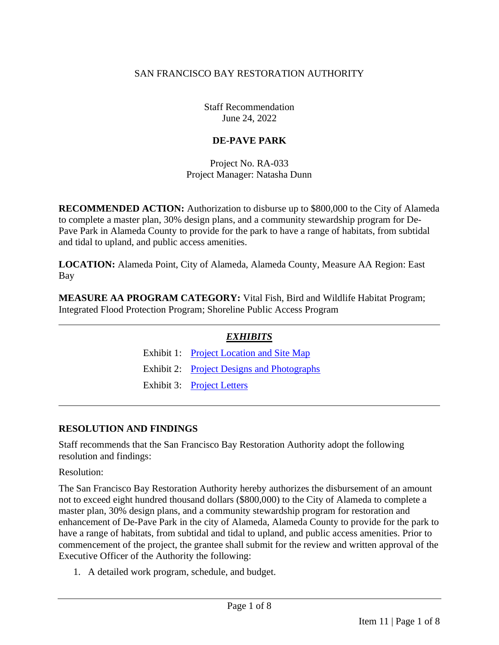### SAN FRANCISCO BAY RESTORATION AUTHORITY

Staff Recommendation June 24, 2022

## **DE-PAVE PARK**

Project No. RA-033 Project Manager: Natasha Dunn

**RECOMMENDED ACTION:** Authorization to disburse up to \$800,000 to the City of Alameda to complete a master plan, 30% design plans, and a community stewardship program for De-Pave Park in Alameda County to provide for the park to have a range of habitats, from subtidal and tidal to upland, and public access amenities.

**LOCATION:** Alameda Point, City of Alameda, Alameda County, Measure AA Region: East Bay

**MEASURE AA PROGRAM CATEGORY:** Vital Fish, Bird and Wildlife Habitat Program; Integrated Flood Protection Program; Shoreline Public Access Program

| <b>EXHIBITS</b>                            |
|--------------------------------------------|
| Exhibit 1: Project Location and Site Map   |
| Exhibit 2: Project Designs and Photographs |
| Exhibit 3: Project Letters                 |

### **RESOLUTION AND FINDINGS**

Staff recommends that the San Francisco Bay Restoration Authority adopt the following resolution and findings:

Resolution:

The San Francisco Bay Restoration Authority hereby authorizes the disbursement of an amount not to exceed eight hundred thousand dollars (\$800,000) to the City of Alameda to complete a master plan, 30% design plans, and a community stewardship program for restoration and enhancement of De-Pave Park in the city of Alameda, Alameda County to provide for the park to have a range of habitats, from subtidal and tidal to upland, and public access amenities. Prior to commencement of the project, the grantee shall submit for the review and written approval of the Executive Officer of the Authority the following:

1. A detailed work program, schedule, and budget.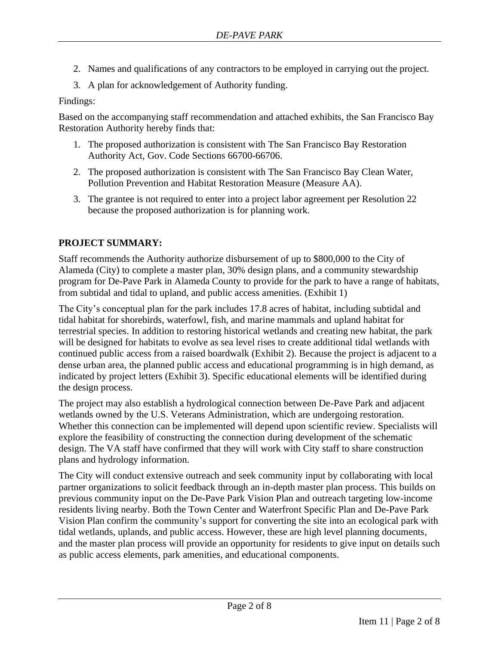- 2. Names and qualifications of any contractors to be employed in carrying out the project.
- 3. A plan for acknowledgement of Authority funding.

Findings:

Based on the accompanying staff recommendation and attached exhibits, the San Francisco Bay Restoration Authority hereby finds that:

- 1. The proposed authorization is consistent with The San Francisco Bay Restoration Authority Act, Gov. Code Sections 66700-66706.
- 2. The proposed authorization is consistent with The San Francisco Bay Clean Water, Pollution Prevention and Habitat Restoration Measure (Measure AA).
- 3. The grantee is not required to enter into a project labor agreement per Resolution 22 because the proposed authorization is for planning work.

### **PROJECT SUMMARY:**

Staff recommends the Authority authorize disbursement of up to \$800,000 to the City of Alameda (City) to complete a master plan, 30% design plans, and a community stewardship program for De-Pave Park in Alameda County to provide for the park to have a range of habitats, from subtidal and tidal to upland, and public access amenities. (Exhibit 1)

The City's conceptual plan for the park includes 17.8 acres of habitat, including subtidal and tidal habitat for shorebirds, waterfowl, fish, and marine mammals and upland habitat for terrestrial species. In addition to restoring historical wetlands and creating new habitat, the park will be designed for habitats to evolve as sea level rises to create additional tidal wetlands with continued public access from a raised boardwalk (Exhibit 2). Because the project is adjacent to a dense urban area, the planned public access and educational programming is in high demand, as indicated by project letters (Exhibit 3). Specific educational elements will be identified during the design process.

The project may also establish a hydrological connection between De-Pave Park and adjacent wetlands owned by the U.S. Veterans Administration, which are undergoing restoration. Whether this connection can be implemented will depend upon scientific review. Specialists will explore the feasibility of constructing the connection during development of the schematic design. The VA staff have confirmed that they will work with City staff to share construction plans and hydrology information.

The City will conduct extensive outreach and seek community input by collaborating with local partner organizations to solicit feedback through an in-depth master plan process. This builds on previous community input on the De-Pave Park Vision Plan and outreach targeting low-income residents living nearby. Both the Town Center and Waterfront Specific Plan and De-Pave Park Vision Plan confirm the community's support for converting the site into an ecological park with tidal wetlands, uplands, and public access. However, these are high level planning documents, and the master plan process will provide an opportunity for residents to give input on details such as public access elements, park amenities, and educational components.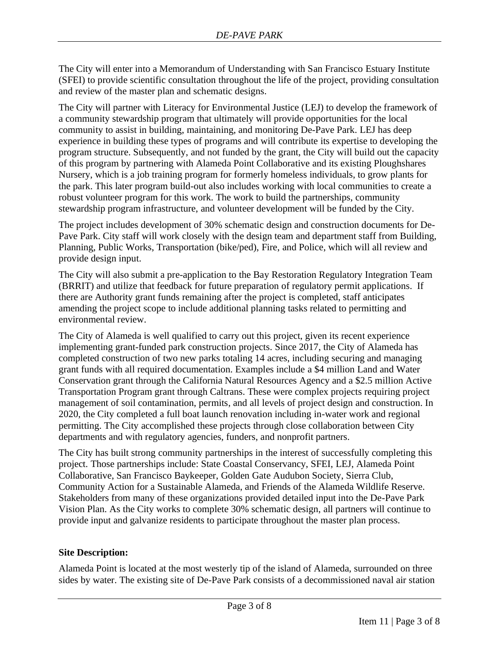The City will enter into a Memorandum of Understanding with San Francisco Estuary Institute (SFEI) to provide scientific consultation throughout the life of the project, providing consultation and review of the master plan and schematic designs.

The City will partner with Literacy for Environmental Justice (LEJ) to develop the framework of a community stewardship program that ultimately will provide opportunities for the local community to assist in building, maintaining, and monitoring De-Pave Park. LEJ has deep experience in building these types of programs and will contribute its expertise to developing the program structure. Subsequently, and not funded by the grant, the City will build out the capacity of this program by partnering with Alameda Point Collaborative and its existing Ploughshares Nursery, which is a job training program for formerly homeless individuals, to grow plants for the park. This later program build-out also includes working with local communities to create a robust volunteer program for this work. The work to build the partnerships, community stewardship program infrastructure, and volunteer development will be funded by the City.

The project includes development of 30% schematic design and construction documents for De-Pave Park. City staff will work closely with the design team and department staff from Building, Planning, Public Works, Transportation (bike/ped), Fire, and Police, which will all review and provide design input.

The City will also submit a pre-application to the Bay Restoration Regulatory Integration Team (BRRIT) and utilize that feedback for future preparation of regulatory permit applications. If there are Authority grant funds remaining after the project is completed, staff anticipates amending the project scope to include additional planning tasks related to permitting and environmental review.

The City of Alameda is well qualified to carry out this project, given its recent experience implementing grant-funded park construction projects. Since 2017, the City of Alameda has completed construction of two new parks totaling 14 acres, including securing and managing grant funds with all required documentation. Examples include a \$4 million Land and Water Conservation grant through the California Natural Resources Agency and a \$2.5 million Active Transportation Program grant through Caltrans. These were complex projects requiring project management of soil contamination, permits, and all levels of project design and construction. In 2020, the City completed a full boat launch renovation including in-water work and regional permitting. The City accomplished these projects through close collaboration between City departments and with regulatory agencies, funders, and nonprofit partners.

The City has built strong community partnerships in the interest of successfully completing this project. Those partnerships include: State Coastal Conservancy, SFEI, LEJ, Alameda Point Collaborative, San Francisco Baykeeper, Golden Gate Audubon Society, Sierra Club, Community Action for a Sustainable Alameda, and Friends of the Alameda Wildlife Reserve. Stakeholders from many of these organizations provided detailed input into the De-Pave Park Vision Plan. As the City works to complete 30% schematic design, all partners will continue to provide input and galvanize residents to participate throughout the master plan process.

### **Site Description:**

Alameda Point is located at the most westerly tip of the island of Alameda, surrounded on three sides by water. The existing site of De-Pave Park consists of a decommissioned naval air station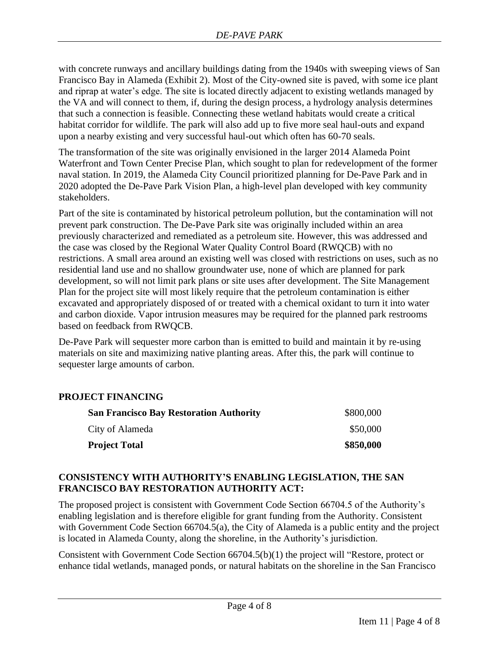with concrete runways and ancillary buildings dating from the 1940s with sweeping views of San Francisco Bay in Alameda (Exhibit 2). Most of the City-owned site is paved, with some ice plant and riprap at water's edge. The site is located directly adjacent to existing wetlands managed by the VA and will connect to them, if, during the design process, a hydrology analysis determines that such a connection is feasible. Connecting these wetland habitats would create a critical habitat corridor for wildlife. The park will also add up to five more seal haul-outs and expand upon a nearby existing and very successful haul-out which often has 60-70 seals.

The transformation of the site was originally envisioned in the larger 2014 Alameda Point Waterfront and Town Center Precise Plan, which sought to plan for redevelopment of the former naval station. In 2019, the Alameda City Council prioritized planning for De-Pave Park and in 2020 adopted the De-Pave Park Vision Plan, a high-level plan developed with key community stakeholders.

Part of the site is contaminated by historical petroleum pollution, but the contamination will not prevent park construction. The De-Pave Park site was originally included within an area previously characterized and remediated as a petroleum site. However, this was addressed and the case was closed by the Regional Water Quality Control Board (RWQCB) with no restrictions. A small area around an existing well was closed with restrictions on uses, such as no residential land use and no shallow groundwater use, none of which are planned for park development, so will not limit park plans or site uses after development. The Site Management Plan for the project site will most likely require that the petroleum contamination is either excavated and appropriately disposed of or treated with a chemical oxidant to turn it into water and carbon dioxide. Vapor intrusion measures may be required for the planned park restrooms based on feedback from RWQCB.

De-Pave Park will sequester more carbon than is emitted to build and maintain it by re-using materials on site and maximizing native planting areas. After this, the park will continue to sequester large amounts of carbon.

## **PROJECT FINANCING**

| <b>San Francisco Bay Restoration Authority</b> | \$800,000 |
|------------------------------------------------|-----------|
| City of Alameda                                | \$50,000  |
| <b>Project Total</b>                           | \$850,000 |

#### **CONSISTENCY WITH AUTHORITY'S ENABLING LEGISLATION, THE SAN FRANCISCO BAY RESTORATION AUTHORITY ACT:**

The proposed project is consistent with Government Code Section 66704.5 of the Authority's enabling legislation and is therefore eligible for grant funding from the Authority. Consistent with Government Code Section 66704.5(a), the City of Alameda is a public entity and the project is located in Alameda County, along the shoreline, in the Authority's jurisdiction.

Consistent with Government Code Section 66704.5(b)(1) the project will "Restore, protect or enhance tidal wetlands, managed ponds, or natural habitats on the shoreline in the San Francisco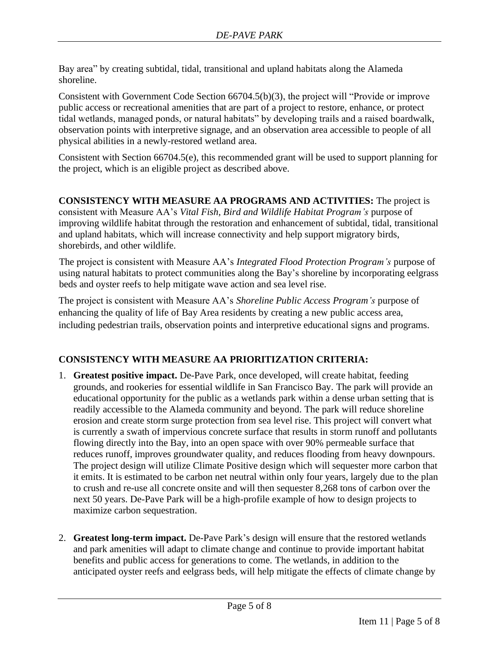Bay area" by creating subtidal, tidal, transitional and upland habitats along the Alameda shoreline.

Consistent with Government Code Section 66704.5(b)(3), the project will "Provide or improve public access or recreational amenities that are part of a project to restore, enhance, or protect tidal wetlands, managed ponds, or natural habitats" by developing trails and a raised boardwalk, observation points with interpretive signage, and an observation area accessible to people of all physical abilities in a newly-restored wetland area.

Consistent with Section 66704.5(e), this recommended grant will be used to support planning for the project, which is an eligible project as described above.

**CONSISTENCY WITH MEASURE AA PROGRAMS AND ACTIVITIES:** The project is consistent with Measure AA's *Vital Fish, Bird and Wildlife Habitat Program's* purpose of improving wildlife habitat through the restoration and enhancement of subtidal, tidal, transitional and upland habitats, which will increase connectivity and help support migratory birds, shorebirds, and other wildlife.

The project is consistent with Measure AA's *Integrated Flood Protection Program's* purpose of using natural habitats to protect communities along the Bay's shoreline by incorporating eelgrass beds and oyster reefs to help mitigate wave action and sea level rise.

The project is consistent with Measure AA's *Shoreline Public Access Program's* purpose of enhancing the quality of life of Bay Area residents by creating a new public access area, including pedestrian trails, observation points and interpretive educational signs and programs.

## **CONSISTENCY WITH MEASURE AA PRIORITIZATION CRITERIA:**

- 1. **Greatest positive impact.** De-Pave Park, once developed, will create habitat, feeding grounds, and rookeries for essential wildlife in San Francisco Bay. The park will provide an educational opportunity for the public as a wetlands park within a dense urban setting that is readily accessible to the Alameda community and beyond. The park will reduce shoreline erosion and create storm surge protection from sea level rise. This project will convert what is currently a swath of impervious concrete surface that results in storm runoff and pollutants flowing directly into the Bay, into an open space with over 90% permeable surface that reduces runoff, improves groundwater quality, and reduces flooding from heavy downpours. The project design will utilize Climate Positive design which will sequester more carbon that it emits. It is estimated to be carbon net neutral within only four years, largely due to the plan to crush and re-use all concrete onsite and will then sequester 8,268 tons of carbon over the next 50 years. De-Pave Park will be a high-profile example of how to design projects to maximize carbon sequestration.
- 2. **Greatest long-term impact.** De-Pave Park's design will ensure that the restored wetlands and park amenities will adapt to climate change and continue to provide important habitat benefits and public access for generations to come. The wetlands, in addition to the anticipated oyster reefs and eelgrass beds, will help mitigate the effects of climate change by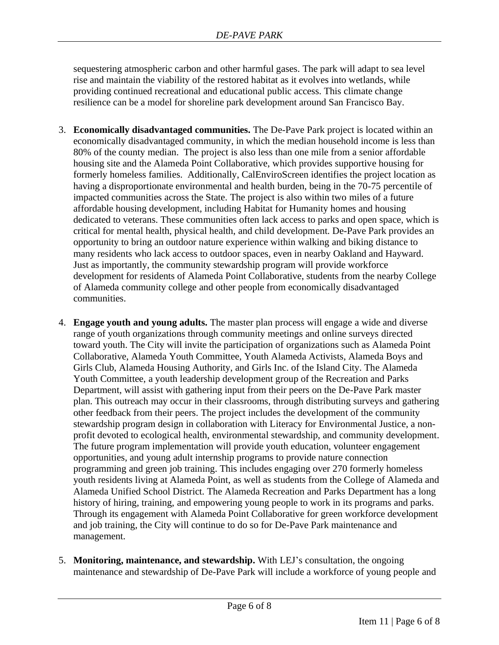sequestering atmospheric carbon and other harmful gases. The park will adapt to sea level rise and maintain the viability of the restored habitat as it evolves into wetlands, while providing continued recreational and educational public access. This climate change resilience can be a model for shoreline park development around San Francisco Bay.

- 3. **Economically disadvantaged communities.** The De-Pave Park project is located within an economically disadvantaged community, in which the median household income is less than 80% of the county median. The project is also less than one mile from a senior affordable housing site and the Alameda Point Collaborative, which provides supportive housing for formerly homeless families. Additionally, CalEnviroScreen identifies the project location as having a disproportionate environmental and health burden, being in the 70-75 percentile of impacted communities across the State. The project is also within two miles of a future affordable housing development, including Habitat for Humanity homes and housing dedicated to veterans. These communities often lack access to parks and open space, which is critical for mental health, physical health, and child development. De-Pave Park provides an opportunity to bring an outdoor nature experience within walking and biking distance to many residents who lack access to outdoor spaces, even in nearby Oakland and Hayward. Just as importantly, the community stewardship program will provide workforce development for residents of Alameda Point Collaborative, students from the nearby College of Alameda community college and other people from economically disadvantaged communities.
- 4. **Engage youth and young adults.** The master plan process will engage a wide and diverse range of youth organizations through community meetings and online surveys directed toward youth. The City will invite the participation of organizations such as Alameda Point Collaborative, Alameda Youth Committee, Youth Alameda Activists, Alameda Boys and Girls Club, Alameda Housing Authority, and Girls Inc. of the Island City. The Alameda Youth Committee, a youth leadership development group of the Recreation and Parks Department, will assist with gathering input from their peers on the De-Pave Park master plan. This outreach may occur in their classrooms, through distributing surveys and gathering other feedback from their peers. The project includes the development of the community stewardship program design in collaboration with Literacy for Environmental Justice, a nonprofit devoted to ecological health, environmental stewardship, and community development. The future program implementation will provide youth education, volunteer engagement opportunities, and young adult internship programs to provide nature connection programming and green job training. This includes engaging over 270 formerly homeless youth residents living at Alameda Point, as well as students from the College of Alameda and Alameda Unified School District. The Alameda Recreation and Parks Department has a long history of hiring, training, and empowering young people to work in its programs and parks. Through its engagement with Alameda Point Collaborative for green workforce development and job training, the City will continue to do so for De-Pave Park maintenance and management.
- 5. **Monitoring, maintenance, and stewardship.** With LEJ's consultation, the ongoing maintenance and stewardship of De-Pave Park will include a workforce of young people and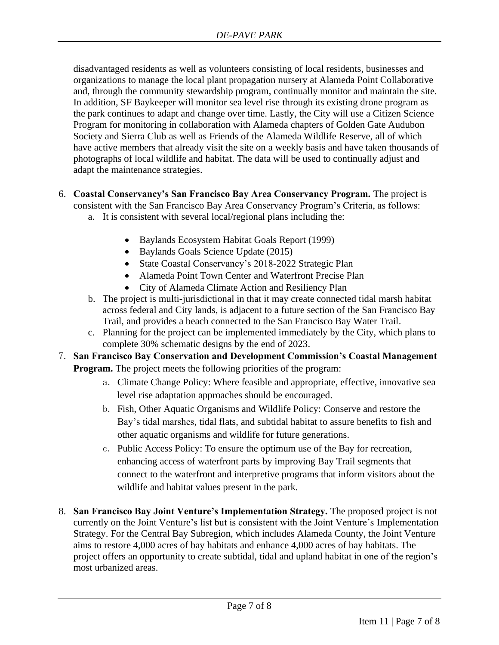disadvantaged residents as well as volunteers consisting of local residents, businesses and organizations to manage the local plant propagation nursery at Alameda Point Collaborative and, through the community stewardship program, continually monitor and maintain the site. In addition, SF Baykeeper will monitor sea level rise through its existing drone program as the park continues to adapt and change over time. Lastly, the City will use a Citizen Science Program for monitoring in collaboration with Alameda chapters of Golden Gate Audubon Society and Sierra Club as well as Friends of the Alameda Wildlife Reserve, all of which have active members that already visit the site on a weekly basis and have taken thousands of photographs of local wildlife and habitat. The data will be used to continually adjust and adapt the maintenance strategies.

- 6. **Coastal Conservancy's San Francisco Bay Area Conservancy Program.** The project is consistent with the San Francisco Bay Area Conservancy Program's Criteria, as follows:
	- a. It is consistent with several local/regional plans including the:
		- Baylands Ecosystem Habitat Goals Report (1999)
		- Baylands Goals Science Update (2015)
		- State Coastal Conservancy's 2018-2022 Strategic Plan
		- Alameda Point Town Center and Waterfront Precise Plan
		- City of Alameda Climate Action and Resiliency Plan
	- b. The project is multi-jurisdictional in that it may create connected tidal marsh habitat across federal and City lands, is adjacent to a future section of the San Francisco Bay Trail, and provides a beach connected to the San Francisco Bay Water Trail.
	- c. Planning for the project can be implemented immediately by the City, which plans to complete 30% schematic designs by the end of 2023.
- 7. **San Francisco Bay Conservation and Development Commission's Coastal Management Program.** The project meets the following priorities of the program:
	- a. Climate Change Policy: Where feasible and appropriate, effective, innovative sea level rise adaptation approaches should be encouraged.
	- b. Fish, Other Aquatic Organisms and Wildlife Policy: Conserve and restore the Bay's tidal marshes, tidal flats, and subtidal habitat to assure benefits to fish and other aquatic organisms and wildlife for future generations.
	- c. Public Access Policy: To ensure the optimum use of the Bay for recreation, enhancing access of waterfront parts by improving Bay Trail segments that connect to the waterfront and interpretive programs that inform visitors about the wildlife and habitat values present in the park.
- 8. **San Francisco Bay Joint Venture's Implementation Strategy.** The proposed project is not currently on the Joint Venture's list but is consistent with the Joint Venture's Implementation Strategy. For the Central Bay Subregion, which includes Alameda County, the Joint Venture aims to restore 4,000 acres of bay habitats and enhance 4,000 acres of bay habitats. The project offers an opportunity to create subtidal, tidal and upland habitat in one of the region's most urbanized areas.